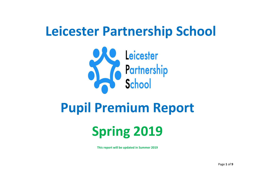# **Leicester Partnership School**



## **Pupil Premium Report**

# **Spring 2019**

**This report will be updated in Summer 2019**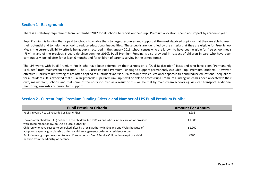#### **Section 1 - Background:**

There is a statutory requirement from September 2012 for all schools to report on their Pupil Premium allocation, spend and impact by academic year.

Pupil Premium is funding that is paid to schools to enable them to target resources and support at the most deprived pupils so that they are able to reach their potential and to help the school to reduce educational inequalities. These pupils are identified by the criteria that they are eligible for Free School Meals, the current eligibility criteria being pupils recorded in the January 2016 school census who are known to have been eligible for free school meals (FSM) in any of the previous 6 years (ie since summer 2010). Pupil Premium Funding is also provided in respect of children in care who have been continuously looked after for at least 6 months and for children of parents serving in the armed forces.

The LPS works with Pupil Premium Pupils who have been referred by their schools on a "Dual Registration" basis and who have been "Permanently Excluded" from mainstream education. The LPS uses its Pupil Premium Funding to support permanently excluded Pupil Premium Students. However, effective Pupil Premium strategies are often applied to all students as it is our aim to improve educational opportunities and reduce educational inequalities for all students. It is expected that "Dual Registered" Pupil Premium Pupils will be able to access Pupil Premium Funding which has been allocated to their own, mainstream, schools and that some of the costs incurred as a result of this will be met by mainstream schools eg. Assisted transport, additional mentoring, rewards and curriculum support.

| <b>Section 2 - Current Pupil Premium Funding Criteria and Number of LPS Pupil Premium Pupils:</b> |  |  |
|---------------------------------------------------------------------------------------------------|--|--|
|---------------------------------------------------------------------------------------------------|--|--|

| <b>Pupil Premium Criteria</b>                                                                                                                                                               | <b>Amount Per Annum</b> |
|---------------------------------------------------------------------------------------------------------------------------------------------------------------------------------------------|-------------------------|
| Pupils in years 7 to 11 recorded as Ever 6 FSM                                                                                                                                              | £935                    |
| Looked-after children (LAC) defined in the Children Act 1989 as one who is in the care of, or provided<br>with accommodation by, an English local authority                                 | £1.900                  |
| Children who have ceased to be looked after by a local authority in England and Wales because of<br>adoption, a special guardianship order, a child arrangements order or a residence order | £1.900                  |
| Pupils in year groups reception to year 11 recorded as Ever 5 Service Child or in receipt of a child<br>pension from the Ministry of Defence                                                | £300                    |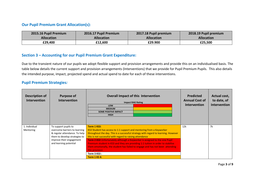#### **Our Pupil Premium Grant Allocation(s):**

| 2015.16 Pupil Premium | 2016.17 Pupil Premium | 2017.18 Pupil premium | 2018.19 Pupil premium |
|-----------------------|-----------------------|-----------------------|-----------------------|
| <b>Allocation</b>     | <b>Allocation</b>     | <b>Allocation</b>     | <b>Allocation</b>     |
| £29,400               | £12,600               | £29.900               | £25,500               |

#### **Section 3 – Accounting for our Pupil Premium Grant Expenditure:**

Due to the transient nature of our pupils we adopt flexible support and provision arrangements and provide this on an individualised basis. The table below details the current support and provision arrangements (Interventions) that we provide for Pupil Premium Pupils. This also details the intended purpose, impact, projected spend and actual spend to date for each of these interventions.

#### **Pupil Premium Strategies***:*

| <b>Description of</b><br><b>Intervention</b> | <b>Purpose of</b><br><b>Intervention</b>                                                                                | <b>Overall Impact of this Intervention</b><br><b>Impact RAG Rating</b><br>LOW<br><b>MEDIUM</b><br><b>SOME POSITIVE IMPACT</b><br><b>HIGH</b>                                                                                                                                                  | <b>Predicted</b><br><b>Annual Cost of</b><br><b>Intervention</b> | Actual cost,<br>to date, of<br><b>Intervention</b> |
|----------------------------------------------|-------------------------------------------------------------------------------------------------------------------------|-----------------------------------------------------------------------------------------------------------------------------------------------------------------------------------------------------------------------------------------------------------------------------------------------|------------------------------------------------------------------|----------------------------------------------------|
| 1. Individual<br>Mentoring                   | To support pupils to<br>overcome barriers to learning<br>& regular attendance. To help<br>them to develop strategies to | Term 1 KS3:<br>KS3 Student has access to 1:1 support and mentoring from a Keyworker<br>throughout the day. This is a successful strategy with regard to learning. However<br>this is not successful with regard to raising attendance                                                         | 12k                                                              | 7k                                                 |
|                                              | improve their engagement<br>and learning potential                                                                      | <b>Term 2 KS3</b> Unfortunately although a Keyworker is assigned to the one Pupil<br>Premium student in KS3 and they are providing 1:1 tuition in order to stabilise<br>them emotionally, the student has failed to engage and has not been attending<br>this provision<br><b>Term 3 KS3:</b> |                                                                  |                                                    |
|                                              |                                                                                                                         | <b>Term 1 KS 4:</b>                                                                                                                                                                                                                                                                           |                                                                  |                                                    |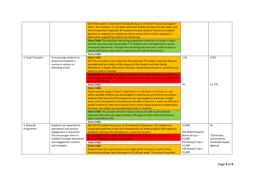|                                                                                                                                                               | Each KS4 student is mentored individually by one of the LPS Vocational Support                                                                                                                                                                                                                                                                                                                                                                                                                                                                                                                                                                                                                                                            |                                                                                                                                                                                                                                                                                       |                                                             |
|---------------------------------------------------------------------------------------------------------------------------------------------------------------|-------------------------------------------------------------------------------------------------------------------------------------------------------------------------------------------------------------------------------------------------------------------------------------------------------------------------------------------------------------------------------------------------------------------------------------------------------------------------------------------------------------------------------------------------------------------------------------------------------------------------------------------------------------------------------------------------------------------------------------------|---------------------------------------------------------------------------------------------------------------------------------------------------------------------------------------------------------------------------------------------------------------------------------------|-------------------------------------------------------------|
|                                                                                                                                                               | Team. This involves a 1-1 sit down with each student at least once per week, and<br>more frequently if required. All concerns are also raised to Parents of students<br>(positive or negative) via telephone calls to ensure that a holistic approach is<br>taken when supporting students via mentoring.<br>Term 2 KS4: The individual mentoring programme continues to remain in place<br>and the case load now incorporates Yr 9 students who are beginning to access<br>Vocational placements. Through the mentoring we have seen a 10% increase in<br>overall attendance rates when compared to pre-referral attendance                                                                                                              |                                                                                                                                                                                                                                                                                       |                                                             |
| To encourage students to<br>attend and establish a<br>routine in relation to<br>attending school                                                              | Term 1 KS3:<br>KS3 This currently is not in place for this particular PP student. However they are<br>provided with bus tickets at the request of this student and their family.<br>Attendance is largely affected by exclusion, absconding and parent cancelling and<br>failing to attend meetings<br>Term 2 KS3 : Bus tickets are still provided for this student. However attendance is                                                                                                                                                                                                                                                                                                                                                | 1.5k                                                                                                                                                                                                                                                                                  | £750                                                        |
|                                                                                                                                                               | put in place for him<br><b>Term 3 KS3:</b><br>Term 1 KS4:<br>Pupil transport support (taxis) is dependent on individual circumstances, and<br>where possible students are encouraged to travel by bus to and from provisions.<br>Students that leave the KS3 programme are encouraged to use buses straight<br>away, and in exceptional circumstances the offer of taxis for 1 week are offered to<br>enable student to make the transition from Centre based provision to Alternative<br>Provision. Bus tickets are provided each week to students.<br>Term 2 KS4: This process remains in place and we are able to demonstrate<br>improved attendance by approximately 10% against initial referral attendance<br>data. From 64% to 74% | 2k                                                                                                                                                                                                                                                                                    | £1,170                                                      |
|                                                                                                                                                               |                                                                                                                                                                                                                                                                                                                                                                                                                                                                                                                                                                                                                                                                                                                                           |                                                                                                                                                                                                                                                                                       | 5k                                                          |
| attendance and positive<br>engagement in education.<br>This encourages them to<br>establish stronger attendance<br>and engagement routines<br>and strategies. | responded positively to this and consequently has made progress with regard to<br>academic learning. His attendance is a cause for concern<br>Term 2 KS3: Unfortunately the KS3 student has not taken advantage of the<br>Rewards Programme since the last report.<br><b>Term 3 KS3:</b><br>Term 1 KS4:<br>Students have the opportunity to earn High Street Vouchers as part of their                                                                                                                                                                                                                                                                                                                                                    | <b>KS3 REACH Reward</b><br>Room Set Up =<br>£5,000<br>KS3 Reward Trips =<br>£1,000<br>KS4 Reward Trips =                                                                                                                                                                              | *[Externally<br>sponsored by<br>Randstadt Supply<br>Agency] |
|                                                                                                                                                               | Students are rewarded for                                                                                                                                                                                                                                                                                                                                                                                                                                                                                                                                                                                                                                                                                                                 | <b>Term 3 KS4:</b><br>still a huge concern as this student is failing to attend the educational programme<br>Term 3 KS4:.<br>KS3 The PP student has access to The Rewards Programme. The student has<br>Vocational packages up to the value of £15.00 per week. The value of vouchers | £7,000<br>£1,000                                            |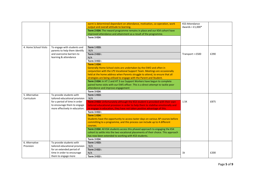|                              |                                                                                                                                                              | earnt is determined dependant on attendance, motivation, co-operation, work<br>output and overall attitude to learning.<br>Term 2 KS4: The reward programme remains in place and our KS4 cohort have<br>improved attendance and attainment as a result of the programme.<br>Term 3 KS4:                                                                                                                                                                                                                                                                                                                                                                                                                                           | <b>KS3 Attendance</b><br>Awards = $£1,000*$ |      |
|------------------------------|--------------------------------------------------------------------------------------------------------------------------------------------------------------|-----------------------------------------------------------------------------------------------------------------------------------------------------------------------------------------------------------------------------------------------------------------------------------------------------------------------------------------------------------------------------------------------------------------------------------------------------------------------------------------------------------------------------------------------------------------------------------------------------------------------------------------------------------------------------------------------------------------------------------|---------------------------------------------|------|
| 4. Home School Visits        | To engage with students and<br>parents to help them identify<br>and overcome barriers to<br>learning & attendance                                            | Term 1 KS3:<br>N/A<br>Term 2 KS3:<br>N/A<br>Term 3 KS3:<br>Term 1 KS4:<br>Generally Home School visits are undertaken by the EWO and often in<br>conjunction with the LPS Vocational Support Team. Meetings are occasionally<br>held at the home address when Parents struggle to attend, to ensure that all<br>strategies are being utilised to engage with the Parent and Student.<br>Term 2 KS4: In HT 2 and HT 3 our Support Workers have begun to complete<br>paired home visits with our EWS officer. This is a direct attempt to tackle poor<br>attendance and improve engagement<br>Term 3 KS4:                                                                                                                           | Transport = £500                            | £290 |
| 5. Alternative<br>Curriculum | To provide students with<br>tailored educational provision<br>for a period of time in order<br>to encourage them to engage<br>more effectively in education. | Term 1 KS3:<br>N/A<br>Term 2 KS3: Unfortunately although the KS3 student is provided with their own<br>tailored educational provision in order to help them to stabilise emotionally and<br>re-engage in education, they have not taken positive advantage of this.<br><b>Term 3 KS3:</b><br>Term 1 KS4:<br>Students have the opportunity to access taster days on various AP courses before<br>committing to a programme, and this process can include up to 4 different<br>courses.<br>Term 2 KS4: All KS4 students access this phased approach to engaging the KS4<br>cohort to settle into the two vocational placements of their choice. This approach<br>has now been extended to working with KS3 students.<br>Term 3 KS4: | 1.5K                                        | £875 |
| 6. Alternative<br>Provision  | To provide students with<br>tailored educational provision<br>for an extended period of<br>time in order to encourage<br>them to engage more                 | Term 1 KS3:<br>N/A<br><b>Term 2 KS3:</b><br>N/A<br><b>Term 3 KS3:</b>                                                                                                                                                                                                                                                                                                                                                                                                                                                                                                                                                                                                                                                             | 1 <sup>k</sup>                              | £200 |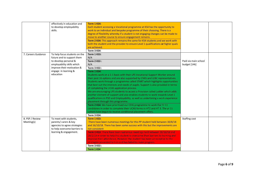|                               | effectively in education and<br>to develop employability<br>skills.                                                                                                                   | Term 1 KS4:<br>Each student accessing a Vocational programme at KS4 has the opportunity to<br>work to an individual and bespoke programme of their choosing. There is a<br>degree of flexibility whereby if a student is not engaging changes can be made to<br>move to another course to ensure engagement remains.<br>Term 2 KS4: This approach remains the same for KS4 students and we work with<br>both the student and the provider to ensure Level 1 qualifications or higher quals<br>are achieved.                                                                                                                                                                                                                                                                                                                                                                                                                                                                                    |                                      |  |
|-------------------------------|---------------------------------------------------------------------------------------------------------------------------------------------------------------------------------------|------------------------------------------------------------------------------------------------------------------------------------------------------------------------------------------------------------------------------------------------------------------------------------------------------------------------------------------------------------------------------------------------------------------------------------------------------------------------------------------------------------------------------------------------------------------------------------------------------------------------------------------------------------------------------------------------------------------------------------------------------------------------------------------------------------------------------------------------------------------------------------------------------------------------------------------------------------------------------------------------|--------------------------------------|--|
|                               |                                                                                                                                                                                       | Term 3 KS4:                                                                                                                                                                                                                                                                                                                                                                                                                                                                                                                                                                                                                                                                                                                                                                                                                                                                                                                                                                                    |                                      |  |
| 7. Careers Guidance           | To help focus students on the<br>future and to support them<br>to develop personal &<br>employability skills which<br>improve their motivation &<br>engage in learning &<br>education | Term 1 KS3:<br>N/A<br><b>Term 2 KS3:</b><br>N/A<br><b>Term 3 KS3:</b><br>Term 1 KS4:<br>Students work on a 1-1 basis with their LPS Vocational Support Worker around<br>their post 16 options and are also supported by CNXS and LEBC representatives.<br>Students work through a programme called START which highlights opportunities<br>that best suit the interests and needs of pupils. Support is also provided in terms<br>of completing the UCAS application process.<br>We are encouraging LPS students to access a Provision called Ladder which adds<br>another element of support and also enables students to work towards Level 1<br>qualifications in PSD and Employability, as well as undertaking a work experience<br>placement through this programme.<br>Term 2 KS4: We have prioritised our CEIG programme to work Our Yr 11<br>candidates in order to complete their UCAS forms in HT2 and HT 3. The yr 11<br>cohort have begun to receive conditional placement offers. | Paid via main school<br>budget [14k] |  |
| 8. PSP / Review<br>Meeting(s) | To meet with students,<br>parents/ carers & key<br>agencies to agree strategies<br>to help overcome barriers to<br>learning & engagement.                                             | Term 3 KS4:<br>Term 1 KS3:<br>There have been numerous meetings for this PP student held between 30/8/18<br>and 16/10/18. There has been some success with this but the improvements are<br>not consistent<br>Term 2 KS3: There have been numerous meetings held between 29/10/18 and<br>28/2/19 in order to help this student to overcome their barriers to learning and<br>improve their attendance. However the student has been unreceptive to the<br>strategies presented to him and has failed to make progress.<br><b>Term 3 KS3:</b><br>Term 1 KS4                                                                                                                                                                                                                                                                                                                                                                                                                                     | Staffing cost                        |  |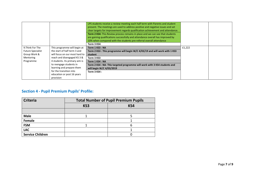|                          |                                | LPS students receive a review meeting each half term with Parents and student<br>present. The meetings are used to address positive and negative issues and set<br>clear targets for improvement regards qualification achievement and attendance.<br>Term 2 KS4: This Review process remains in place and we can see that students<br>are gaining qualifications successfully and attendance overall has improved by<br>10% when compared with the students pre-referral overall attendance<br>Term 3 KS4: |        |  |
|--------------------------|--------------------------------|-------------------------------------------------------------------------------------------------------------------------------------------------------------------------------------------------------------------------------------------------------------------------------------------------------------------------------------------------------------------------------------------------------------------------------------------------------------------------------------------------------------|--------|--|
| 9. Think For The         | This programme will begin at   | Term 1 KS3 : NA                                                                                                                                                                                                                                                                                                                                                                                                                                                                                             | £1,222 |  |
| <b>Future Specialist</b> | the start of half term 3 and   | Term 2 KS3 : This programme will begin W/C 4/03/19 and will work with 1 KS3                                                                                                                                                                                                                                                                                                                                                                                                                                 |        |  |
| Group Work &             | will focus on our most hard to | student                                                                                                                                                                                                                                                                                                                                                                                                                                                                                                     |        |  |
| Mentoring                | reach and disengaged KS 3 &    | Term 3 KS3                                                                                                                                                                                                                                                                                                                                                                                                                                                                                                  |        |  |
| Programme                | 4 students. Its primary aim is | Term 1 KS4 : NA                                                                                                                                                                                                                                                                                                                                                                                                                                                                                             |        |  |
|                          | to reengage students in        | Term 2 KS4 : NA- This targeted programme will work with 3 KS4 students and                                                                                                                                                                                                                                                                                                                                                                                                                                  |        |  |
|                          | learning and prepare them      | will begin W/C 4/03/2019                                                                                                                                                                                                                                                                                                                                                                                                                                                                                    |        |  |
|                          | for the transition into        | Term 3 KS4 :                                                                                                                                                                                                                                                                                                                                                                                                                                                                                                |        |  |
|                          | education or post 16 years     |                                                                                                                                                                                                                                                                                                                                                                                                                                                                                                             |        |  |
|                          | provision                      |                                                                                                                                                                                                                                                                                                                                                                                                                                                                                                             |        |  |

### **Section 4 - Pupil Premium Pupils' Profile:**

| <b>Criteria</b>         | <b>Total Number of Pupil Premium Pupils</b> |     |  |  |  |  |
|-------------------------|---------------------------------------------|-----|--|--|--|--|
|                         | KS3                                         | KS4 |  |  |  |  |
|                         |                                             |     |  |  |  |  |
| <b>Male</b>             |                                             |     |  |  |  |  |
| Female                  |                                             |     |  |  |  |  |
| <b>FSM</b>              |                                             |     |  |  |  |  |
| <b>LAC</b>              |                                             |     |  |  |  |  |
| <b>Service Children</b> |                                             |     |  |  |  |  |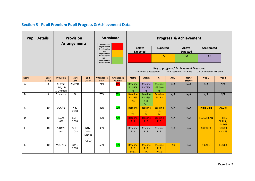### **Section 5 - Pupil Premium Pupil Progress & Achievement Data***:*

| <b>Pupil Details</b><br><b>Provision</b><br><b>Arrangements</b> |               | No or limited                         | <b>Attendance</b>           | <b>Progress &amp; Achievement</b>               |                                                                                 |                                     |                                                   |                                                 |                                                   |            |                                                                   |                            |                                           |
|-----------------------------------------------------------------|---------------|---------------------------------------|-----------------------------|-------------------------------------------------|---------------------------------------------------------------------------------|-------------------------------------|---------------------------------------------------|-------------------------------------------------|---------------------------------------------------|------------|-------------------------------------------------------------------|----------------------------|-------------------------------------------|
|                                                                 |               |                                       |                             |                                                 | Improvement<br>from Baseline                                                    |                                     |                                                   | <b>Below</b>                                    | <b>Expected</b>                                   |            | Above                                                             | <b>Accelerated</b>         |                                           |
|                                                                 |               |                                       |                             |                                                 | 5-9%<br>Improvement<br>from baseline<br>$10% +$<br>Improvement<br>from Baseline |                                     |                                                   | <b>Expected</b>                                 | <b>FS</b>                                         |            | <b>Expected</b><br><b>TA</b>                                      | Q                          |                                           |
|                                                                 |               |                                       |                             |                                                 |                                                                                 |                                     |                                                   | FS = ForSkills Assessment                       |                                                   |            | Key to progress / Achievement Measure:<br>TA = Teacher Assessment | Q = Qualification Achieved |                                           |
| <b>Name</b>                                                     | Year<br>Group | <b>Provision</b>                      | <b>Start</b><br><b>Date</b> | End<br>Date*                                    | <b>Attendance</b><br><b>Start</b>                                               | <b>Attendance</b><br><b>Overall</b> | <b>Maths</b>                                      | <b>English</b>                                  | <b>ICT</b>                                        | <b>ANO</b> | <b>BTECH</b><br><b>Science</b>                                    | Voc 1                      | Voc 2                                     |
| A.                                                              | 8             | As from<br>$14/1/19$ -<br>1:1 tuition | 26/2/18                     |                                                 | 71%                                                                             | 44%                                 | <b>Baseline</b><br>E189%<br>FS.                   | <b>Baseline</b><br>E3 73%<br><b>FS</b>          | <b>Baseline</b><br>-E3 69%<br><b>FS</b>           | N/A        | N/A                                                               | N/A                        | N/A                                       |
| <b>B.</b>                                                       | 9             | 5 day voc                             | $\overline{?}$              |                                                 | 75%                                                                             | 96%                                 | <b>Baseline</b><br>E3 33%<br>Pass                 | <b>Baseline</b><br>E2 23%<br>FS El3<br>Pass     | <b>Baseline</b><br>EL2 FS                         | N/A        | N/A                                                               | N/A                        | N/A                                       |
| C.                                                              | 10            | VOC/FS                                | Nov<br>2018                 |                                                 | 85%                                                                             | 93%                                 | <b>Baseline</b><br>E <sub>3</sub><br><b>TA</b>    | <b>Baseline</b><br>E <sub>3</sub><br><b>TA</b>  | <b>Baseline</b><br>E <sub>3</sub><br><b>TA</b>    | N/A        | N/A                                                               | <b>Triple Skillz</b>       | AXLR8                                     |
| D.                                                              | 10            | 5DAY<br><b>VOC</b>                    | <b>SEPT</b><br>2018         |                                                 | 49%                                                                             | 72%                                 | <b>Baseline</b><br>EL3                            | <b>Baseline</b><br>EL3                          | <b>Baseline</b><br>EL3                            | N/A        | N/A                                                               | <b>PEDESTRIAN</b>          | <b>TRIPLE</b><br>SKILLS/<br><b>LADDER</b> |
| Ε.                                                              | 10            | 5 DAYS<br><b>VOC</b>                  | <b>SEPT</b><br>2018         | <b>NOV</b><br>2018<br>(Moved<br>to<br>L.'shire) | 33%                                                                             |                                     | <b>Baseline</b><br>EL <sub>2</sub>                | <b>Baseline</b><br>EL <sub>2</sub>              | <b>Baseline</b><br>EL <sub>2</sub>                | N/A        | N/A                                                               | <b>CARWRX</b>              | <b>FUTURE</b><br><b>CYCLES</b>            |
| E.                                                              | 10            | VOC / FS                              | <b>JUNE</b><br>2018         |                                                 | 56%                                                                             | 80%                                 | <b>Baseline</b><br>EL <sub>2</sub><br><b>PASS</b> | <b>Baseline</b><br>EL <sub>2</sub><br><b>TA</b> | <b>Baseline</b><br>EL <sub>2</sub><br><b>PASS</b> | <b>PSD</b> | N/A                                                               | 1 CARE                     | EDUC8                                     |